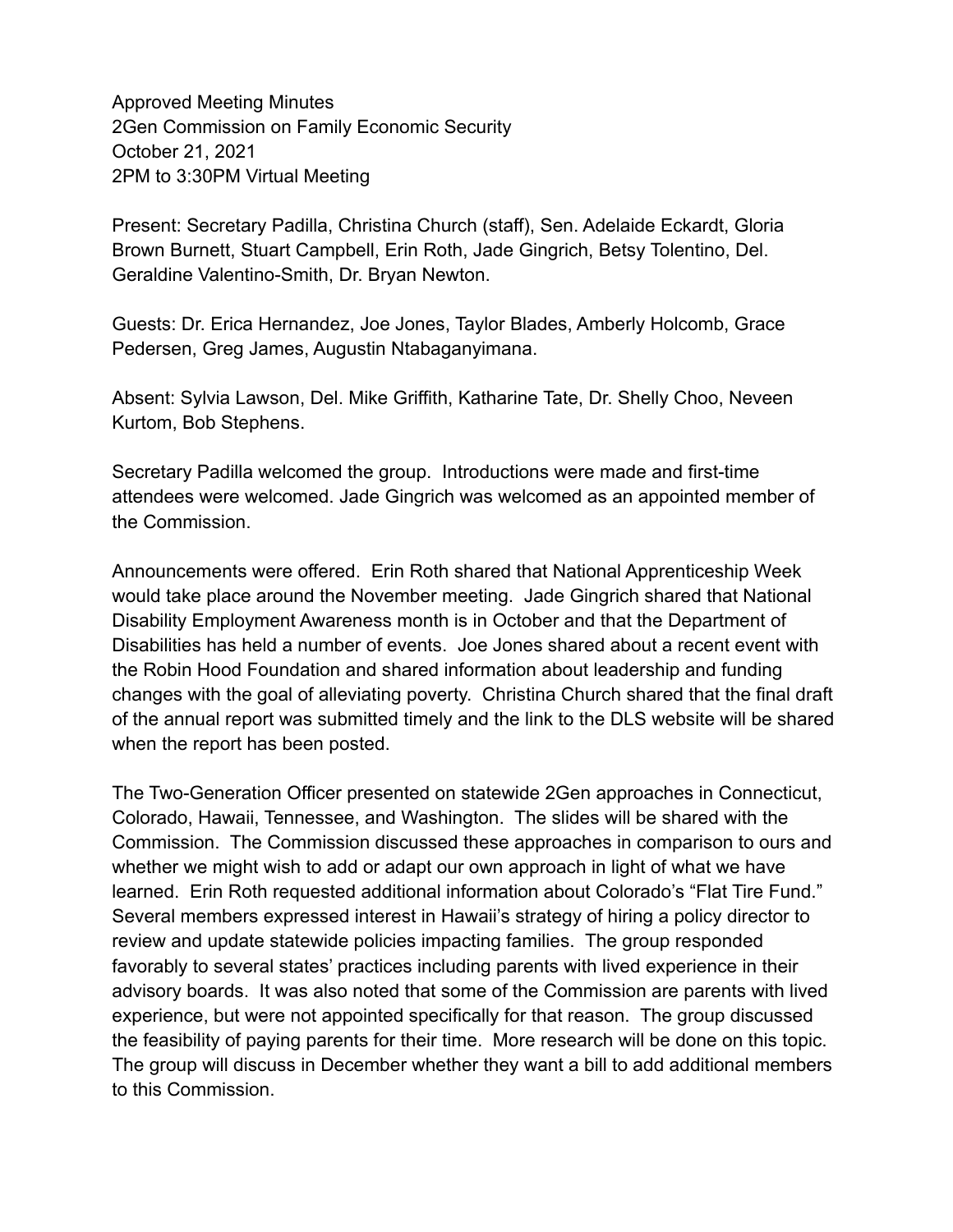Approved Meeting Minutes 2Gen Commission on Family Economic Security October 21, 2021 2PM to 3:30PM Virtual Meeting

Present: Secretary Padilla, Christina Church (staff), Sen. Adelaide Eckardt, Gloria Brown Burnett, Stuart Campbell, Erin Roth, Jade Gingrich, Betsy Tolentino, Del. Geraldine Valentino-Smith, Dr. Bryan Newton.

Guests: Dr. Erica Hernandez, Joe Jones, Taylor Blades, Amberly Holcomb, Grace Pedersen, Greg James, Augustin Ntabaganyimana.

Absent: Sylvia Lawson, Del. Mike Griffith, Katharine Tate, Dr. Shelly Choo, Neveen Kurtom, Bob Stephens.

Secretary Padilla welcomed the group. Introductions were made and first-time attendees were welcomed. Jade Gingrich was welcomed as an appointed member of the Commission.

Announcements were offered. Erin Roth shared that National Apprenticeship Week would take place around the November meeting. Jade Gingrich shared that National Disability Employment Awareness month is in October and that the Department of Disabilities has held a number of events. Joe Jones shared about a recent event with the Robin Hood Foundation and shared information about leadership and funding changes with the goal of alleviating poverty. Christina Church shared that the final draft of the annual report was submitted timely and the link to the DLS website will be shared when the report has been posted.

The Two-Generation Officer presented on statewide 2Gen approaches in Connecticut, Colorado, Hawaii, Tennessee, and Washington. The slides will be shared with the Commission. The Commission discussed these approaches in comparison to ours and whether we might wish to add or adapt our own approach in light of what we have learned. Erin Roth requested additional information about Colorado's "Flat Tire Fund." Several members expressed interest in Hawaii's strategy of hiring a policy director to review and update statewide policies impacting families. The group responded favorably to several states' practices including parents with lived experience in their advisory boards. It was also noted that some of the Commission are parents with lived experience, but were not appointed specifically for that reason. The group discussed the feasibility of paying parents for their time. More research will be done on this topic. The group will discuss in December whether they want a bill to add additional members to this Commission.